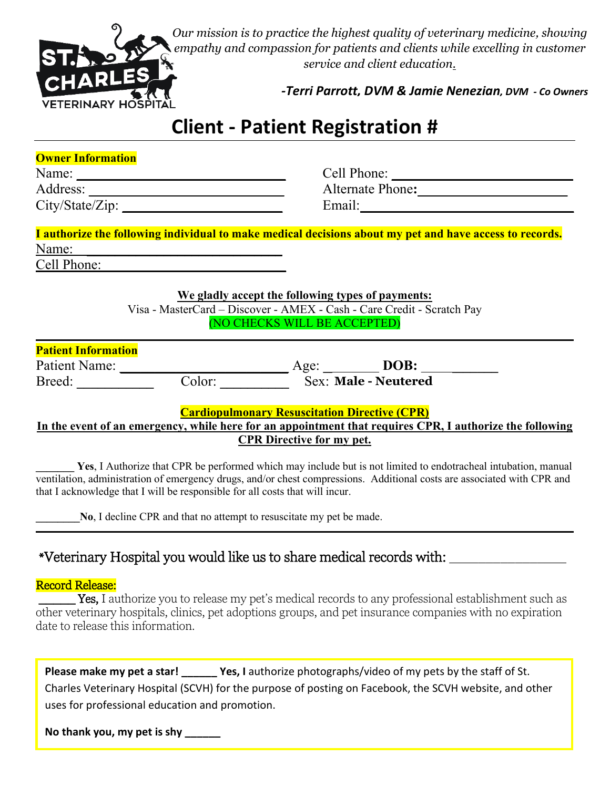

*Our mission is to practice the highest quality of veterinary medicine, showing empathy and compassion for patients and clients while excelling in customer service and client education.* 

*-Terri Parrott, DVM & Jamie Nenezian, DVM - Co Owners* 

## **Client - Patient Registration #**

| <b>Owner Information</b> |  |
|--------------------------|--|
|                          |  |

| Name:           |  |
|-----------------|--|
| Address:        |  |
| City/State/Zip: |  |

Cell Phone: **\_\_\_\_\_\_\_\_\_\_\_\_\_\_\_\_\_\_\_\_\_\_\_\_\_\_** Alternate Phone**: \_\_\_\_\_\_\_\_\_\_\_\_\_\_\_\_\_\_\_\_\_** Email:

|             | I authorize the following individual to make medical decisions about my pet and have access to records. |
|-------------|---------------------------------------------------------------------------------------------------------|
| Name:       |                                                                                                         |
| Cell Phone: |                                                                                                         |

**We gladly accept the following types of payments:**

Visa - MasterCard – Discover - AMEX - Cash - Care Credit - Scratch Pay (NO CHECKS WILL BE ACCEPTED)

| <b>Patient Information</b> |  |
|----------------------------|--|

Patient Name: **\_\_\_\_\_\_\_\_\_\_\_\_\_\_\_\_\_\_\_\_\_\_\_\_** Age: **\_\_\_\_\_\_\_\_ DOB: \_\_\_\_\_\_\_\_\_\_\_**  Breed: **\_\_\_\_\_\_\_\_\_\_\_** Color: **\_\_\_\_\_\_\_\_\_\_** Sex: \_\_\_\_\_\_\_\_\_\_ **Male - Neutered** 

**Cardiopulmonary Resuscitation Directive (CPR)**

### **In the event of an emergency, while here for an appointment that requires CPR, I authorize the following CPR Directive for my pet.**

Yes, I Authorize that CPR be performed which may include but is not limited to endotracheal intubation, manual ventilation, administration of emergency drugs, and/or chest compressions. Additional costs are associated with CPR and that I acknowledge that I will be responsible for all costs that will incur.

**No**, I decline CPR and that no attempt to resuscitate my pet be made.

## \*Veterinary Hospital you would like us to share medical records with: \_\_\_\_\_\_\_\_\_\_\_\_\_\_\_\_

### Record Release:

**Tes,** I authorize you to release my pet's medical records to any professional establishment such as other veterinary hospitals, clinics, pet adoptions groups, and pet insurance companies with no expiration date to release this information.

| Please make my pet a star!                     | Yes, I authorize photographs/video of my pets by the staff of St.                                      |
|------------------------------------------------|--------------------------------------------------------------------------------------------------------|
|                                                | Charles Veterinary Hospital (SCVH) for the purpose of posting on Facebook, the SCVH website, and other |
| uses for professional education and promotion. |                                                                                                        |

**No thank you, my pet is shy \_\_\_\_\_\_**